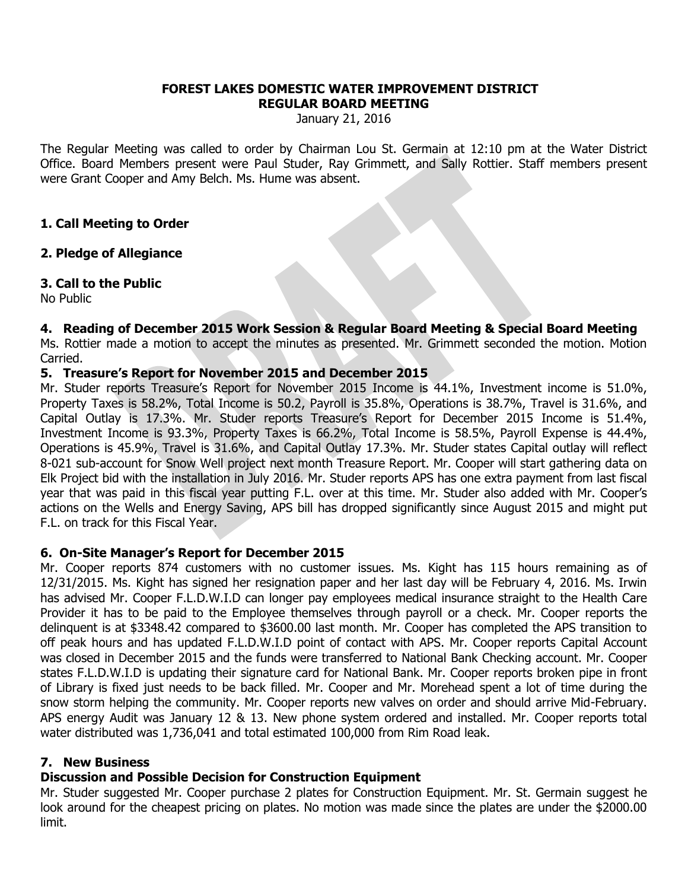#### **FOREST LAKES DOMESTIC WATER IMPROVEMENT DISTRICT REGULAR BOARD MEETING**

January 21, 2016

The Regular Meeting was called to order by Chairman Lou St. Germain at 12:10 pm at the Water District Office. Board Members present were Paul Studer, Ray Grimmett, and Sally Rottier. Staff members present were Grant Cooper and Amy Belch. Ms. Hume was absent.

### **1. Call Meeting to Order**

# **2. Pledge of Allegiance**

# **3. Call to the Public**

No Public

# **4. Reading of December 2015 Work Session & Regular Board Meeting & Special Board Meeting**

Ms. Rottier made a motion to accept the minutes as presented. Mr. Grimmett seconded the motion. Motion Carried.

# **5. Treasure's Report for November 2015 and December 2015**

Mr. Studer reports Treasure's Report for November 2015 Income is 44.1%, Investment income is 51.0%, Property Taxes is 58.2%, Total Income is 50.2, Payroll is 35.8%, Operations is 38.7%, Travel is 31.6%, and Capital Outlay is 17.3%. Mr. Studer reports Treasure's Report for December 2015 Income is 51.4%, Investment Income is 93.3%, Property Taxes is 66.2%, Total Income is 58.5%, Payroll Expense is 44.4%, Operations is 45.9%, Travel is 31.6%, and Capital Outlay 17.3%. Mr. Studer states Capital outlay will reflect 8-021 sub-account for Snow Well project next month Treasure Report. Mr. Cooper will start gathering data on Elk Project bid with the installation in July 2016. Mr. Studer reports APS has one extra payment from last fiscal year that was paid in this fiscal year putting F.L. over at this time. Mr. Studer also added with Mr. Cooper's actions on the Wells and Energy Saving, APS bill has dropped significantly since August 2015 and might put F.L. on track for this Fiscal Year.

### **6. On-Site Manager's Report for December 2015**

Mr. Cooper reports 874 customers with no customer issues. Ms. Kight has 115 hours remaining as of 12/31/2015. Ms. Kight has signed her resignation paper and her last day will be February 4, 2016. Ms. Irwin has advised Mr. Cooper F.L.D.W.I.D can longer pay employees medical insurance straight to the Health Care Provider it has to be paid to the Employee themselves through payroll or a check. Mr. Cooper reports the delinquent is at \$3348.42 compared to \$3600.00 last month. Mr. Cooper has completed the APS transition to off peak hours and has updated F.L.D.W.I.D point of contact with APS. Mr. Cooper reports Capital Account was closed in December 2015 and the funds were transferred to National Bank Checking account. Mr. Cooper states F.L.D.W.I.D is updating their signature card for National Bank. Mr. Cooper reports broken pipe in front of Library is fixed just needs to be back filled. Mr. Cooper and Mr. Morehead spent a lot of time during the snow storm helping the community. Mr. Cooper reports new valves on order and should arrive Mid-February. APS energy Audit was January 12 & 13. New phone system ordered and installed. Mr. Cooper reports total water distributed was 1,736,041 and total estimated 100,000 from Rim Road leak.

### **7. New Business**

# **Discussion and Possible Decision for Construction Equipment**

Mr. Studer suggested Mr. Cooper purchase 2 plates for Construction Equipment. Mr. St. Germain suggest he look around for the cheapest pricing on plates. No motion was made since the plates are under the \$2000.00 limit.